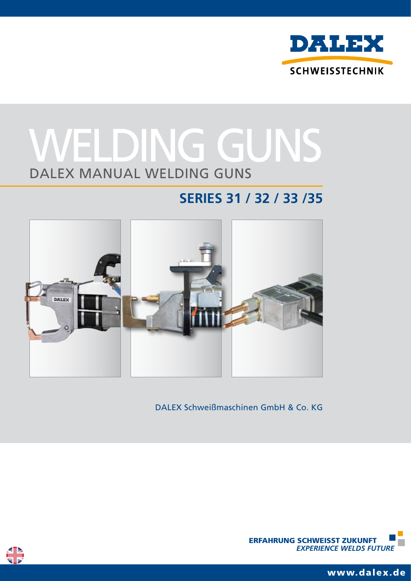

# DALEX Manual welding guns WELDING GUNS

# **Series 31 / 32 / 33 /35**



DALEX Schweißmaschinen GmbH & Co. KG



ERFAHRUNG SCHWEISST ZUKUNFT  *EXPERIENCE WELDS FUTURE*

www.dalex.de <sup>1</sup>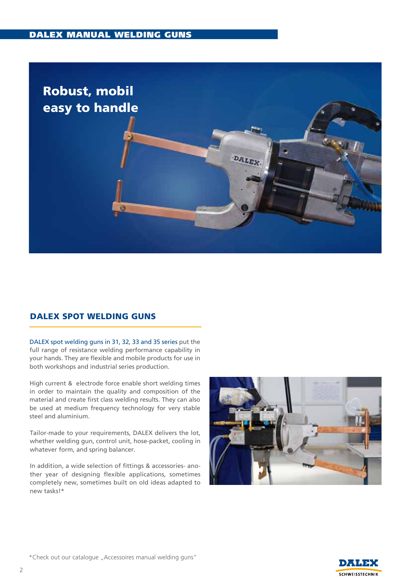

# DALEX SPOT WELDING GUNS

DALEX spot welding guns in 31, 32, 33 and 35 series put the full range of resistance welding performance capability in your hands. They are flexible and mobile products for use in both workshops and industrial series production.

High current & electrode force enable short welding times in order to maintain the quality and composition of the material and create first class welding results. They can also be used at medium frequency technology for very stable steel and aluminium.

Tailor-made to your requirements, DALEX delivers the lot, whether welding gun, control unit, hose-packet, cooling in whatever form, and spring balancer.

In addition, a wide selection of fittings & accessories- another year of designing flexible applications, sometimes completely new, sometimes built on old ideas adapted to new tasks!\*



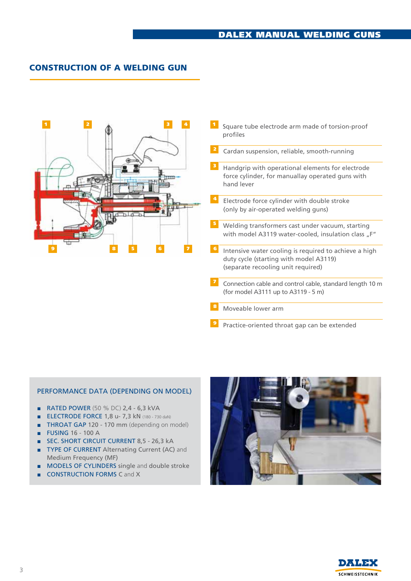# CONSTRUCTION OF A WELDING GUN



<sup>4</sup> Electrode force cylinder with double stroke 7 8 9 Cardan suspension, reliable, smooth-running Handgrip with operational elements for electrode force cylinder, for manuallay operated guns with Welding transformers cast under vacuum, starting with model A3119 water-cooled, insulation class "F" Intensive water cooling is required to achieve a high duty cycle (starting with model A3119) (separate recooling unit required) Connection cable and control cable, standard length 10 m (for model A3111 up to A3119 - 5 m) Moveable lower arm Practice-oriented throat gap can be extended (only by air-operated welding guns)

#### PERFORMANCE DATA (DEPENDING ON MODEL)

- RATED POWER (50 % DC) 2,4 6,3 kVA
- ELECTRODE FORCE 1,8 u- 7,3 kN (180 730 daN)
- THROAT GAP 120 170 mm (depending on model)
- FUSING 16 100 A
- SEC. SHORT CIRCUIT CURRENT 8,5 26,3 kA
- TYPE OF CURRENT Alternating Current (AC) and Medium Frequency (MF)
- MODELS OF CYLINDERS single and double stroke
- **CONSTRUCTION FORMS C and X**



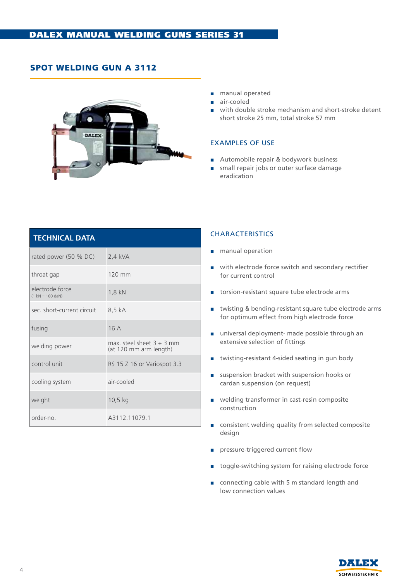# SPOT wELDING GUN A 3112



- manual operated
- air-cooled
- with double stroke mechanism and short-stroke detent short stroke 25 mm, total stroke 57 mm

#### EXAMPLES of uSE

- Automobile repair & bodywork business
- small repair jobs or outer surface damage eradication

| <b>TECHNICAL DATA</b>                                         |                                                      |
|---------------------------------------------------------------|------------------------------------------------------|
| rated power (50 % DC)                                         | 2,4 kVA                                              |
| throat gap                                                    | 120 mm                                               |
| electrode force<br>$(1 \text{ kN} = 100 \text{ d} \text{aN})$ | 1,8 kN                                               |
| sec. short-current circuit                                    | 8,5 kA                                               |
| fusing                                                        | 16A                                                  |
| welding power                                                 | max steel sheet $3 + 3$ mm<br>(at 120 mm arm length) |
| control unit                                                  | RS 15 Z 16 or Variospot 3.3                          |
| cooling system                                                | air-cooled                                           |
| weight                                                        | $10,5$ kg                                            |
| order-no.                                                     | A3112.11079.1                                        |

- manual operation
- with electrode force switch and secondary rectifier for current control
- torsion-resistant square tube electrode arms
- twisting & bending-resistant square tube electrode arms for optimum effect from high electrode force
- universal deployment- made possible through an extensive selection of fittings
- twisting-resistant 4-sided seating in gun body
- suspension bracket with suspension hooks or cardan suspension (on request)
- welding transformer in cast-resin composite construction
- consistent welding quality from selected composite design
- pressure-triggered current flow
- toggle-switching system for raising electrode force
- connecting cable with 5 m standard length and low connection values

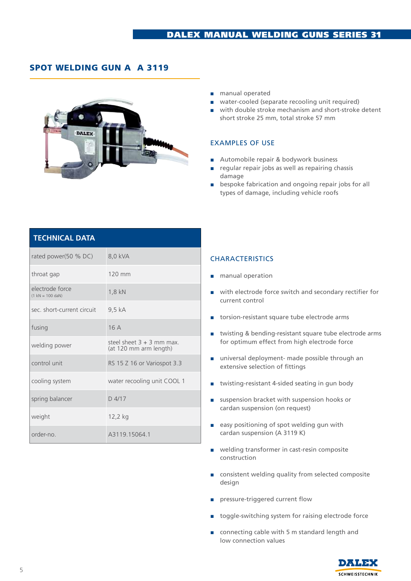# SPOT wELDING GUN A A 3119

**TECHNICAL DATA**



- manual operated
- water-cooled (separate recooling unit required)
- with double stroke mechanism and short-stroke detent short stroke 25 mm, total stroke 57 mm

#### EXAMPLES OF USE

- Automobile repair & bodywork business
- regular repair jobs as well as repairing chassis damage
- bespoke fabrication and ongoing repair jobs for all types of damage, including vehicle roofs

| I ELANILAL DAIA                                               |                                                      |
|---------------------------------------------------------------|------------------------------------------------------|
| rated power(50 % DC)                                          | 8,0 kVA                                              |
| throat gap                                                    | 120 mm                                               |
| electrode force<br>$(1 \text{ kN} = 100 \text{ d} \text{aN})$ | 1,8 kN                                               |
| sec. short-current circuit                                    | 9,5 kA                                               |
| fusing                                                        | 16A                                                  |
| welding power                                                 | steel sheet $3 + 3$ mm max<br>(at 120 mm arm length) |
| control unit                                                  | RS 15 Z 16 or Variospot 3.3                          |
| cooling system                                                | water recooling unit COOL 1                          |
| spring balancer                                               | $D$ 4/17                                             |
| weight                                                        | 12,2 kg                                              |
| order-no                                                      | A3119.15064.1                                        |

- manual operation
- with electrode force switch and secondary rectifier for current control
- torsion-resistant square tube electrode arms
- twisting & bending-resistant square tube electrode arms for optimum effect from high electrode force
- universal deployment- made possible through an extensive selection of fittings
- twisting-resistant 4-sided seating in gun body
- suspension bracket with suspension hooks or cardan suspension (on request)
- easy positioning of spot welding gun with cardan suspension (A 3119 K)
- welding transformer in cast-resin composite construction
- consistent welding quality from selected composite design
- pressure-triggered current flow
- toggle-switching system for raising electrode force
- connecting cable with 5 m standard length and low connection values

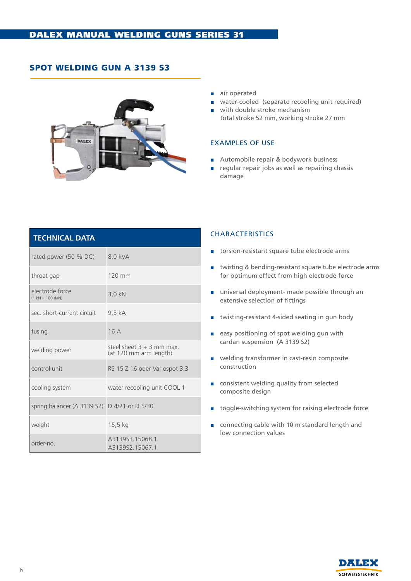# SPOT WELDING GUN A 3139 S3



- air operated
- water-cooled (separate recooling unit required)
- with double stroke mechanism total stroke 52 mm, working stroke 27 mm

#### EXAMPLES OF USE

- Automobile repair & bodywork business
- regular repair jobs as well as repairing chassis damage

| <b>TECHNICAL DATA</b>                                 |                                                       |
|-------------------------------------------------------|-------------------------------------------------------|
| rated power (50 % DC)                                 | 8,0 kVA                                               |
| throat gap                                            | $120$ mm                                              |
| electrode force<br>$(1 \text{ kN} = 100 \text{ dan})$ | 3,0 kN                                                |
| sec. short-current circuit                            | 9.5 kA                                                |
| fusing                                                | 16A                                                   |
| welding power                                         | steel sheet $3 + 3$ mm max.<br>(at 120 mm arm length) |
| control unit                                          | RS 15 Z 16 oder Variospot 3.3                         |
| cooling system                                        | water recooling unit COOL 1                           |
| spring balancer (A 3139 S2) D 4/21 or D 5/30          |                                                       |
| weight                                                | 15,5 kg                                               |
| order-no                                              | A313953 15068 1<br>A3139S2.15067.1                    |

- torsion-resistant square tube electrode arms
- twisting & bending-resistant square tube electrode arms for optimum effect from high electrode force
- universal deployment- made possible through an extensive selection of fittings
- twisting-resistant 4-sided seating in gun body
- easy positioning of spot welding gun with cardan suspension (A 3139 S2)
- welding transformer in cast-resin composite construction
- consistent welding quality from selected composite design
- toggle-switching system for raising electrode force
- connecting cable with 10 m standard length and low connection values

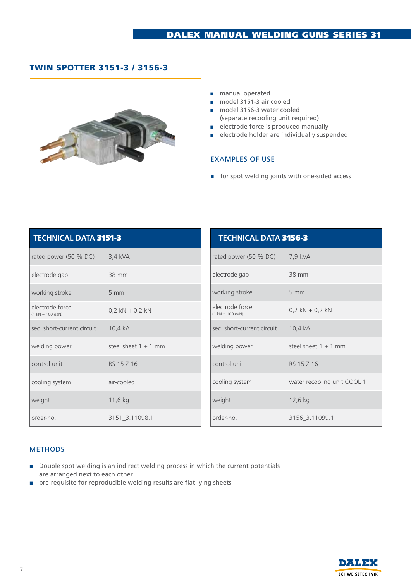# Twin Spotter 3151-3 / 3156-3



- manual operated
- model 3151-3 air cooled
- model 3156-3 water cooled (separate recooling unit required)
- electrode force is produced manually
- electrode holder are individually suspended

#### EXAMPLES OF USE

■ for spot welding joints with one-sided access

| <b>TECHNICAL DATA 3151-3</b>          |                        |
|---------------------------------------|------------------------|
| rated power $(50 % DC)$               | 3,4 kVA                |
| electrode gap                         | 38 mm                  |
| working stroke                        | 5 <sub>mm</sub>        |
| electrode force<br>$(1 kN = 100 dAN)$ | $0,2$ kN + 0,2 kN      |
| sec. short-current circuit            | 10,4 kA                |
| welding power                         | steel sheet $1 + 1$ mm |
| control unit                          | RS 15 Z 16             |
| cooling system                        | air-cooled             |
| weight                                | 11,6 kg                |
| order-no.                             | 3151_3.11098.1         |

| <b>TECHNICAL DATA 3156-3</b>                                 |                             |  |
|--------------------------------------------------------------|-----------------------------|--|
| rated power (50 % DC)                                        | 7,9 kVA                     |  |
| electrode gap                                                | 38 mm                       |  |
| working stroke                                               | $5 \, \text{mm}$            |  |
| electrode force<br>$(1 \text{ kN} = 100 \text{ d}a\text{N})$ | $0,2$ kN + 0,2 kN           |  |
| sec. short-current circuit                                   | 10,4 kA                     |  |
| welding power                                                | steel sheet $1 + 1$ mm      |  |
| control unit                                                 | RS 15 7 16                  |  |
| cooling system                                               | water recooling unit COOL 1 |  |
| weight                                                       | 12,6 kg                     |  |
| order-no.                                                    | 3156 3.11099.1              |  |

#### **METHODS**

- Double spot welding is an indirect welding process in which the current potentials are arranged next to each other
- pre-requisite for reproducible welding results are flat-lying sheets

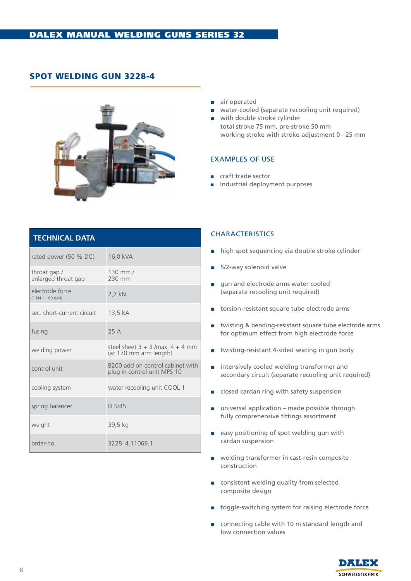# SPOT WELDING GUN 3228-4



- air operated
- water-cooled (separate recooling unit required)
- with double stroke cylinder total stroke 75 mm, pre-stroke 50 mm working stroke with stroke-adjustment 0 - 25 mm

#### EXAMPLES OF USE

- craft trade sector
- Industrial deployment purposes

| <b>TECHNICAL DATA</b>                                 |                                                                 |
|-------------------------------------------------------|-----------------------------------------------------------------|
| rated power (50 % DC)                                 | 16,0 kVA                                                        |
| throat gap /<br>enlarged throat gap                   | 130 mm /<br>230 mm                                              |
| electrode force<br>$(1 \text{ kN} = 100 \text{ dan})$ | 2,7 kN                                                          |
| sec. short-current circuit                            | 13,5 kA                                                         |
| fusing                                                | 25A                                                             |
| welding power                                         | steel sheet $3 + 3$ /max. $4 + 4$ mm<br>(at 170 mm arm length)  |
| control unit                                          | B200 add on control cabinet with<br>plug in control unit MPS 10 |
| cooling system                                        | water recooling unit COOL 1                                     |
| spring balancer                                       | $D$ 5/45                                                        |
| weight                                                | 39,5 kg                                                         |
| order-no                                              | 3228_4.11069.1                                                  |

- high spot sequencing via double stroke cylinder
- 5/2-way solenoid valve
- gun and electrode arms water cooled (separate recooling unit required)
- torsion-resistant square tube electrode arms
- twisting & bending-resistant square tube electrode arms for optimum effect from high electrode force
- twisting-resistant 4-sided seating in gun body
- intensively cooled welding transformer and secondary circuit (separate recooling unit required)
- closed cardan ring with safety suspension
- $\Box$  universal application made possible through fully comprehensive fittings assortment
- easy positioning of spot welding gun with cardan suspension
- welding transformer in cast-resin composite construction
- consistent welding quality from selected composite design
- toggle-switching system for raising electrode force
- connecting cable with 10 m standard length and low connection values

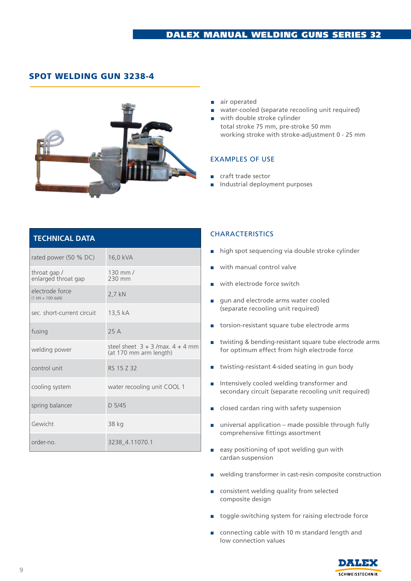# Spot welding Gun 3238-4



- air operated
- water-cooled (separate recooling unit required)
- with double stroke cylinder total stroke 75 mm, pre-stroke 50 mm working stroke with stroke-adjustment 0 - 25 mm

#### ExAMPLES OF USE

- craft trade sector
- Industrial deployment purposes

| <b>TECHNICAL DATA</b>                                 |                                                                |
|-------------------------------------------------------|----------------------------------------------------------------|
| rated power (50 % DC)                                 | 16,0 kVA                                                       |
| throat gap/<br>enlarged throat gap                    | $130$ mm $/$<br>230 mm                                         |
| electrode force<br>$(1 \text{ kN} = 100 \text{ dan})$ | 2,7 kN                                                         |
| sec. short-current circuit                            | 13,5 kA                                                        |
| fusing                                                | 25A                                                            |
| welding power                                         | steel sheet $3 + 3$ /max. $4 + 4$ mm<br>(at 170 mm arm length) |
| control unit                                          | RS 15 7 32                                                     |
| cooling system                                        | water recooling unit COOL 1                                    |
| spring balancer                                       | $D$ 5/45                                                       |
| Gewicht                                               | 38 kg                                                          |
| order-no                                              | 3238 4.11070.1                                                 |

- high spot sequencing via double stroke cylinder
- with manual control valve
- with electrode force switch
- gun and electrode arms water cooled (separate recooling unit required)
- torsion-resistant square tube electrode arms
- twisting & bending-resistant square tube electrode arms for optimum effect from high electrode force
- twisting-resistant 4-sided seating in gun body
- Intensively cooled welding transformer and secondary circuit (separate recooling unit required)
- closed cardan ring with safety suspension
- $\Box$  universal application made possible through fully comprehensive fittings assortment
- easy positioning of spot welding gun with cardan suspension
- welding transformer in cast-resin composite construction
- consistent welding quality from selected composite design
- toggle-switching system for raising electrode force
- connecting cable with 10 m standard length and low connection values

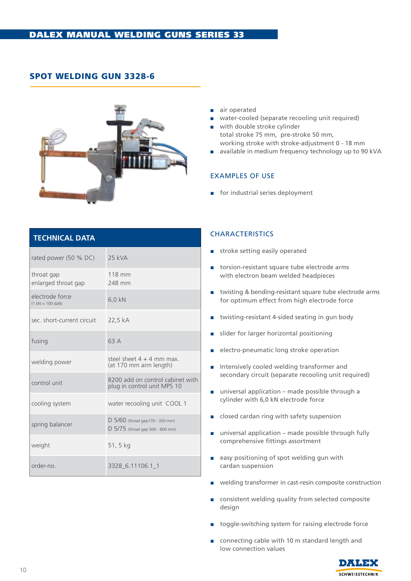# SPOT WELDING GUN 3328-6



- air operated
- water-cooled (separate recooling unit required)
- with double stroke cylinder total stroke 75 mm, pre-stroke 50 mm, working stroke with stroke-adjustment 0 - 18 mm
- available in medium frequency technology up to 90 kVA

#### EXAMPLES OF USE

■ for industrial series deployment

| <b>TECHNICAL DATA</b>                                        |                                                                       |
|--------------------------------------------------------------|-----------------------------------------------------------------------|
| rated power (50 % DC)                                        | 25 kVA                                                                |
| throat gap<br>enlarged throat gap                            | 118 mm<br>248 mm                                                      |
| electrode force<br>$(1 \text{ kN} = 100 \text{ d}a\text{N})$ | $6.0$ kN                                                              |
| sec. short-current circuit                                   | 22,5 kA                                                               |
| fusing                                                       | 63 A                                                                  |
| welding power                                                | steel sheet $4 + 4$ mm max.<br>(at 170 mm arm length)                 |
| control unit                                                 | B200 add on control cabinet with<br>plug in control unit MPS 10       |
| cooling system                                               | water recooling unit COOL 1                                           |
| spring balancer                                              | $D$ 5/60 (throat gap170 - 350 mm)<br>D 5/75 (throat gap 500 - 800 mm) |
| weight                                                       | 51, 5 kg                                                              |
| order-no                                                     | 3328_6.11106.1_1                                                      |

- stroke setting easily operated
- torsion-resistant square tube electrode arms with electron beam welded headpieces
- twisting & bending-resistant square tube electrode arms for optimum effect from high electrode force
- twisting-resistant 4-sided seating in gun body
- slider for larger horizontal positioning
- electro-pneumatic long stroke operation
- Intensively cooled welding transformer and secondary circuit (separate recooling unit required)
- universal application made possible through a cylinder with 6,0 kN electrode force
- closed cardan ring with safety suspension
- universal application made possible through fully comprehensive fittings assortment
- easy positioning of spot welding gun with cardan suspension
- welding transformer in cast-resin composite construction
- consistent welding quality from selected composite design
- toggle-switching system for raising electrode force
- connecting cable with 10 m standard length and low connection values

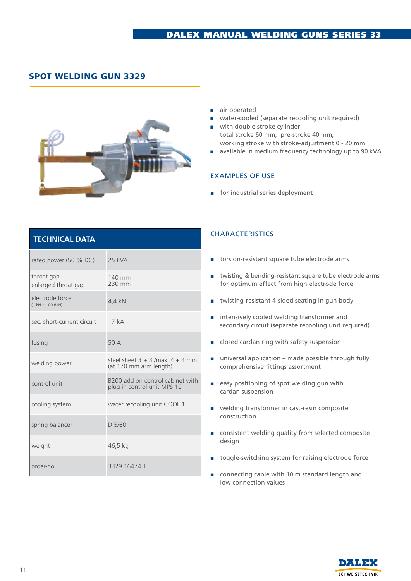# SPOT WELDING GUN 3329



- air operated
- water-cooled (separate recooling unit required)
- with double stroke cylinder total stroke 60 mm, pre-stroke 40 mm, working stroke with stroke-adjustment 0 - 20 mm
- available in medium frequency technology up to 90 kVA

#### EXAMPLES OF USE

■ for industrial series deployment

| <b>TECHNICAL DATA</b> |  |  |
|-----------------------|--|--|
|                       |  |  |

| rated power (50 % DC)                                        | 25 kVA                                                          |
|--------------------------------------------------------------|-----------------------------------------------------------------|
| throat gap<br>enlarged throat gap                            | 140 mm<br>230 mm                                                |
| electrode force<br>$(1 \text{ kN} = 100 \text{ d}a\text{N})$ | 4,4 kN                                                          |
| sec. short-current circuit                                   | 17kA                                                            |
| fusing                                                       | 50 A                                                            |
| welding power                                                | steel sheet $3 + 3$ /max. $4 + 4$ mm<br>(at 170 mm arm length)  |
| control unit                                                 | B200 add on control cabinet with<br>plug in control unit MPS 10 |
| cooling system                                               | water recooling unit COOL 1                                     |
| spring balancer                                              | D 5/60                                                          |
| weight                                                       | 46,5 kg                                                         |
| order-no.                                                    | 3329.16474.1                                                    |

- torsion-resistant square tube electrode arms
- twisting & bending-resistant square tube electrode arms for optimum effect from high electrode force
- twisting-resistant 4-sided seating in gun body
- intensively cooled welding transformer and secondary circuit (separate recooling unit required)
- closed cardan ring with safety suspension
- universal application made possible through fully comprehensive fittings assortment
- easy positioning of spot welding gun with cardan suspension
- welding transformer in cast-resin composite construction
- consistent welding quality from selected composite design
- toggle-switching system for raising electrode force
- connecting cable with 10 m standard length and low connection values

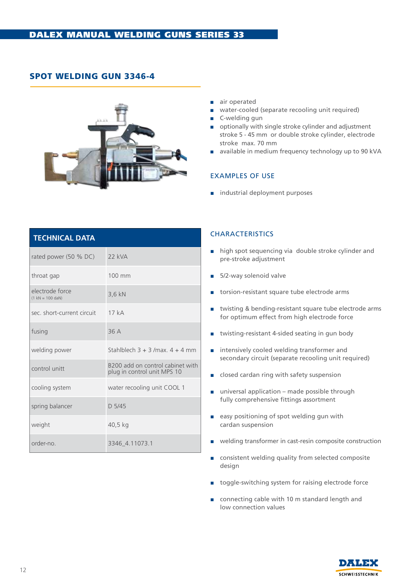# SPOT WELDING GUN 3346-4



- air operated
- water-cooled (separate recooling unit required)
- C-welding gun
- optionally with single stroke cylinder and adjustment stroke 5 - 45 mm or double stroke cylinder, electrode stroke max. 70 mm
- available in medium frequency technology up to 90 kVA

#### EXAMPLES OF USE

■ industrial deployment purposes

| <b>TECHNICAL DATA</b>                                        |                                                                 |  |
|--------------------------------------------------------------|-----------------------------------------------------------------|--|
| rated power (50 % DC)                                        | $22$ kVA                                                        |  |
| throat gap                                                   | 100 mm                                                          |  |
| electrode force<br>$(1 \text{ kN} = 100 \text{ d}a\text{N})$ | 3,6 kN                                                          |  |
| sec. short-current circuit                                   | 17kA                                                            |  |
| fusing                                                       | 36 A                                                            |  |
| welding power                                                | Stahlblech $3 + 3$ /max. $4 + 4$ mm                             |  |
| control unitt                                                | B200 add on control cabinet with<br>plug in control unit MPS 10 |  |
| cooling system                                               | water recooling unit COOL 1                                     |  |
| spring balancer                                              | $D$ 5/45                                                        |  |
| weight                                                       | 40,5 kg                                                         |  |
| order-no                                                     | 3346 4.11073.1                                                  |  |

- high spot sequencing via double stroke cylinder and pre-stroke adjustment
- 5/2-way solenoid valve
- torsion-resistant square tube electrode arms
- twisting & bending-resistant square tube electrode arms for optimum effect from high electrode force
- twisting-resistant 4-sided seating in gun body
- intensively cooled welding transformer and secondary circuit (separate recooling unit required)
- closed cardan ring with safety suspension
- universal application made possible through fully comprehensive fittings assortment
- easy positioning of spot welding gun with cardan suspension
- welding transformer in cast-resin composite construction
- consistent welding quality from selected composite design
- toggle-switching system for raising electrode force
- connecting cable with 10 m standard length and low connection values

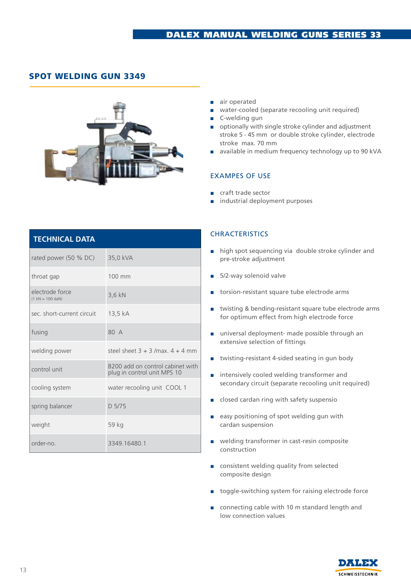# Spot Welding Gun 3349



- air operated
- water-cooled (separate recooling unit required)
- C-welding gun
- optionally with single stroke cylinder and adjustment stroke 5 - 45 mm or double stroke cylinder, electrode stroke max. 70 mm
- available in medium frequency technology up to 90 kVA

#### EXAMPES OF USE

- craft trade sector
- industrial deployment purposes

|  | <b>TECHNICAL DATA</b>                                 |                                                                 |
|--|-------------------------------------------------------|-----------------------------------------------------------------|
|  | rated power (50 % DC)                                 | 35,0 kVA                                                        |
|  | throat gap                                            | 100 mm                                                          |
|  | electrode force<br>$(1 \text{ kN} = 100 \text{ dan})$ | 3,6 kN                                                          |
|  | sec. short-current circuit                            | 13,5 kA                                                         |
|  | fusing                                                | 80 A                                                            |
|  | welding power                                         | steel sheet $3 + 3$ /max $4 + 4$ mm                             |
|  | control unit                                          | B200 add on control cabinet with<br>plug in control unit MPS 10 |
|  | cooling system                                        | water recooling unit COOL 1                                     |
|  | spring balancer                                       | D 5/75                                                          |
|  | weight                                                | 59 kg                                                           |
|  | order-no.                                             | 3349.16480.1                                                    |

- high spot sequencing via double stroke cylinder and pre-stroke adjustment
- 5/2-way solenoid valve
- torsion-resistant square tube electrode arms
- twisting & bending-resistant square tube electrode arms for optimum effect from high electrode force
- universal deployment- made possible through an extensive selection of fittings
- twisting-resistant 4-sided seating in gun body
- intensively cooled welding transformer and secondary circuit (separate recooling unit required)
- closed cardan ring with safety suspensio
- easy positioning of spot welding gun with cardan suspension
- welding transformer in cast-resin composite construction
- consistent welding quality from selected composite design
- toggle-switching system for raising electrode force
- connecting cable with 10 m standard length and low connection values

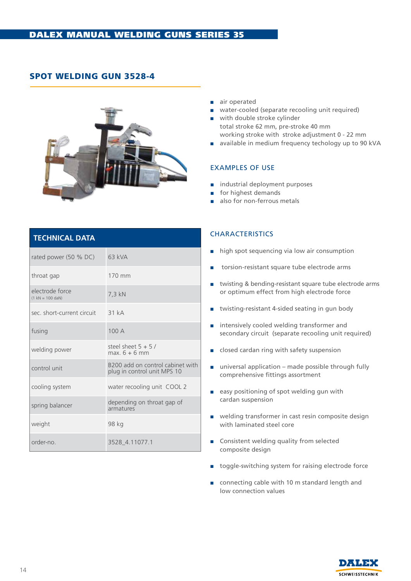# SPOT WELDING GUN 3528-4



- air operated
- water-cooled (separate recooling unit required)
- with double stroke cylinder total stroke 62 mm, pre-stroke 40 mm working stroke with stroke adjustment 0 - 22 mm
- available in medium frequency techology up to 90 kVA

#### EXAMPLES OF USE

- industrial deployment purposes
- for highest demands
- also for non-ferrous metals

| <b>TECHNICAL DATA</b>                 |                                                                 |
|---------------------------------------|-----------------------------------------------------------------|
| rated power (50 % DC)                 | 63 kVA                                                          |
| throat gap                            | 170 mm                                                          |
| electrode force<br>$(1 kN = 100 dAN)$ | 7,3 kN                                                          |
| sec. short-current circuit            | $-31kA$                                                         |
| fusing                                | 100 A                                                           |
| welding power                         | steel sheet $5 + 5/$<br>$max 6 + 6 mm$                          |
| control unit                          | B200 add on control cabinet with<br>plug in control unit MPS 10 |
| cooling system                        | water recooling unit COOL 2                                     |
| spring balancer                       | depending on throat gap of<br>armatures                         |
| weight                                | 98 kg                                                           |
| order-no.                             | 3528 4.11077.1                                                  |

- high spot sequencing via low air consumption
- torsion-resistant square tube electrode arms
- twisting & bending-resistant square tube electrode arms or optimum effect from high electrode force
- twisting-resistant 4-sided seating in gun body
- intensively cooled welding transformer and secondary circuit (separate recooling unit required)
- closed cardan ring with safety suspension
- universal application made possible through fully comprehensive fittings assortment
- easy positioning of spot welding gun with cardan suspension
- welding transformer in cast resin composite design with laminated steel core
- Consistent welding quality from selected composite design
- toggle-switching system for raising electrode force
- connecting cable with 10 m standard length and low connection values

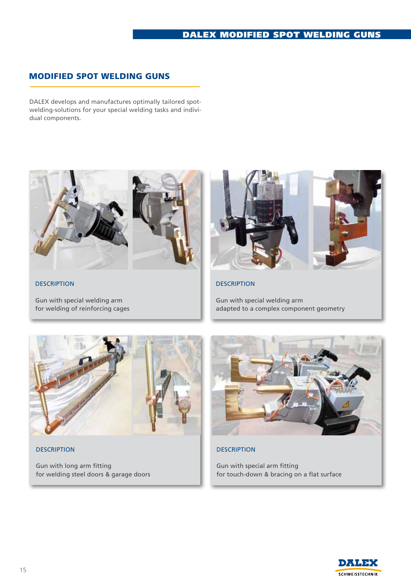# DAlex MODIfIED SPOT WELDING GUNS

# MODIFIED SPOT WELDING GUNS

DALEX develops and manufactures optimally tailored spotwelding-solutions for your special welding tasks and individual components.



**DESCRIPTION** 

Gun with special welding arm for welding of reinforcing cages



**DESCRIPTION** 

Gun with special welding arm adapted to a complex component geometry



**DESCRIPTION** 

Gun with long arm fitting for welding steel doors & garage doors



**DESCRIPTION** 

Gun with special arm fitting for touch-down & bracing on a flat surface